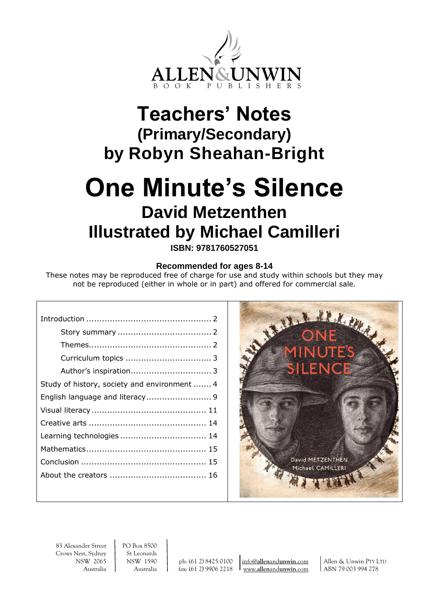

## **Teachers' Notes (Primary/Secondary) by Robyn Sheahan-Bright**

# **One Minute's Silence David Metzenthen Illustrated by Michael Camilleri**

**ISBN: 9781760527051**

#### **Recommended for ages 8-14**

These notes may be reproduced free of charge for use and study within schools but they may not be reproduced (either in whole or in part) and offered for commercial sale.

| Study of history, society and environment  4 |
|----------------------------------------------|
|                                              |
|                                              |
|                                              |
|                                              |
|                                              |
|                                              |
|                                              |
|                                              |



83 Alexander Street<br>Crows Nest, Sydney<br>St Leonards Crows Nest, Sydney

Australia Australia fax: (61 2) 9906 2218 www.**allen**and**[unwin](http://www.allenandunwin.com/)**.com ABN 79 003 994 278

NSW 2065 NSW 1590 ph: (61 2) 8425 0100 info@**allen**and**[unwin](mailto:info@allenandunwin.com)**.com Allen & Unwin PTY LTD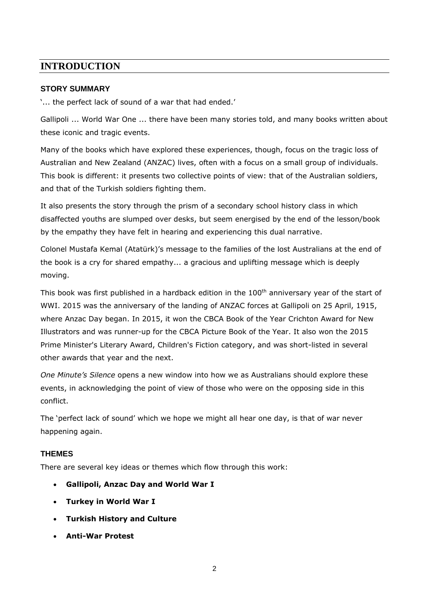## **INTRODUCTION**

#### **STORY SUMMARY**

'... the perfect lack of sound of a war that had ended.'

Gallipoli ... World War One ... there have been many stories told, and many books written about these iconic and tragic events.

Many of the books which have explored these experiences, though, focus on the tragic loss of Australian and New Zealand (ANZAC) lives, often with a focus on a small group of individuals. This book is different: it presents two collective points of view: that of the Australian soldiers, and that of the Turkish soldiers fighting them.

It also presents the story through the prism of a secondary school history class in which disaffected youths are slumped over desks, but seem energised by the end of the lesson/book by the empathy they have felt in hearing and experiencing this dual narrative.

Colonel Mustafa Kemal (Atatürk)'s message to the families of the lost Australians at the end of the book is a cry for shared empathy... a gracious and uplifting message which is deeply moving.

This book was first published in a hardback edition in the 100<sup>th</sup> anniversary year of the start of WWI. 2015 was the anniversary of the landing of ANZAC forces at Gallipoli on 25 April, 1915, where Anzac Day began. In 2015, it won the CBCA Book of the Year Crichton Award for New Illustrators and was runner-up for the CBCA Picture Book of the Year. It also won the 2015 Prime Minister's Literary Award, Children's Fiction category, and was short-listed in several other awards that year and the next.

*One Minute's Silence* opens a new window into how we as Australians should explore these events, in acknowledging the point of view of those who were on the opposing side in this conflict.

The 'perfect lack of sound' which we hope we might all hear one day, is that of war never happening again.

### **THEMES**

There are several key ideas or themes which flow through this work:

- **Gallipoli, Anzac Day and World War I**
- **Turkey in World War I**
- **Turkish History and Culture**
- **Anti-War Protest**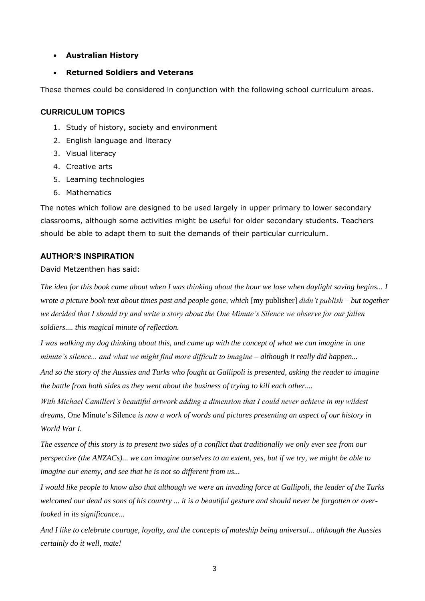- **Australian History**
- **Returned Soldiers and Veterans**

These themes could be considered in conjunction with the following school curriculum areas.

#### **CURRICULUM TOPICS**

- 1. Study of history, society and environment
- 2. English language and literacy
- 3. Visual literacy
- 4. Creative arts
- 5. Learning technologies
- 6. Mathematics

The notes which follow are designed to be used largely in upper primary to lower secondary classrooms, although some activities might be useful for older secondary students. Teachers should be able to adapt them to suit the demands of their particular curriculum.

#### **AUTHOR'S INSPIRATION**

#### David Metzenthen has said:

*The idea for this book came about when I was thinking about the hour we lose when daylight saving begins... I wrote a picture book text about times past and people gone, which* [my publisher] *didn't publish – but together we decided that I should try and write a story about the One Minute's Silence we observe for our fallen soldiers.... this magical minute of reflection.*

*I was walking my dog thinking about this, and came up with the concept of what we can imagine in one minute's silence... and what we might find more difficult to imagine – although it really did happen...*

*And so the story of the Aussies and Turks who fought at Gallipoli is presented, asking the reader to imagine the battle from both sides as they went about the business of trying to kill each other....*

*With Michael Camilleri's beautiful artwork adding a dimension that I could never achieve in my wildest dreams,* One Minute's Silence *is now a work of words and pictures presenting an aspect of our history in World War I.*

*The essence of this story is to present two sides of a conflict that traditionally we only ever see from our perspective (the ANZACs)... we can imagine ourselves to an extent, yes, but if we try, we might be able to imagine our enemy, and see that he is not so different from us...*

*I would like people to know also that although we were an invading force at Gallipoli, the leader of the Turks welcomed our dead as sons of his country ... it is a beautiful gesture and should never be forgotten or overlooked in its significance...*

*And I like to celebrate courage, loyalty, and the concepts of mateship being universal... although the Aussies certainly do it well, mate!*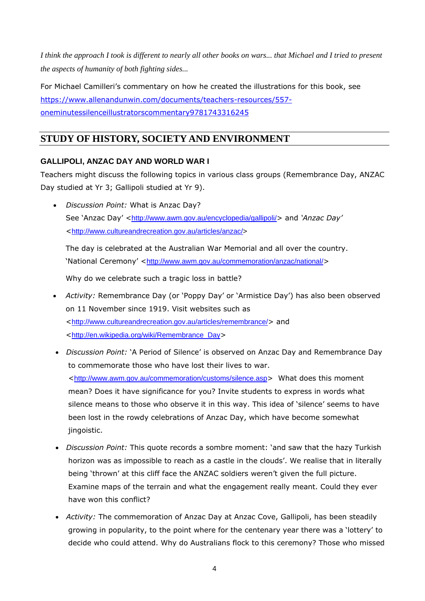*I think the approach I took is different to nearly all other books on wars... that Michael and I tried to present the aspects of humanity of both fighting sides...*

For Michael Camilleri's commentary on how he created the illustrations for this book, see [https://www.allenandunwin.com/documents/teachers-resources/557](https://www.allenandunwin.com/documents/teachers-resources/557-oneminutessilenceillustratorscommentary9781743316245) [oneminutessilenceillustratorscommentary9781743316245](https://www.allenandunwin.com/documents/teachers-resources/557-oneminutessilenceillustratorscommentary9781743316245)

## **STUDY OF HISTORY, SOCIETY AND ENVIRONMENT**

#### **GALLIPOLI, ANZAC DAY AND WORLD WAR I**

Teachers might discuss the following topics in various class groups (Remembrance Day, ANZAC Day studied at Yr 3; Gallipoli studied at Yr 9).

• *Discussion Point:* What is Anzac Day? See 'Anzac Day' <<http://www.awm.gov.au/encyclopedia/gallipoli/>> and '*Anzac Day'* <[http://www.cultureandrecreation.gov.au/articles/anzac/>](http://www.cultureandrecreation.gov.au/articles/anzac/)

The day is celebrated at the Australian War Memorial and all over the country. 'National Ceremony' <<http://www.awm.gov.au/commemoration/anzac/national/>>

Why do we celebrate such a tragic loss in battle?

- *Activity:* Remembrance Day (or 'Poppy Day' or 'Armistice Day') has also been observed on 11 November since 1919. Visit websites such as <<http://www.cultureandrecreation.gov.au/articles/remembrance/>> and <[http://en.wikipedia.org/wiki/Remembrance\\_Day](http://en.wikipedia.org/wiki/Remembrance_Day)>
- *Discussion Point:* 'A Period of Silence' is observed on Anzac Day and Remembrance Day to commemorate those who have lost their lives to war. <<http://www.awm.gov.au/commemoration/customs/silence.asp>> What does this moment mean? Does it have significance for you? Invite students to express in words what silence means to those who observe it in this way. This idea of 'silence' seems to have been lost in the rowdy celebrations of Anzac Day, which have become somewhat jingoistic.
- *Discussion Point:* This quote records a sombre moment: 'and saw that the hazy Turkish horizon was as impossible to reach as a castle in the clouds'. We realise that in literally being 'thrown' at this cliff face the ANZAC soldiers weren't given the full picture. Examine maps of the terrain and what the engagement really meant. Could they ever have won this conflict?
- *Activity:* The commemoration of Anzac Day at Anzac Cove, Gallipoli, has been steadily growing in popularity, to the point where for the centenary year there was a 'lottery' to decide who could attend. Why do Australians flock to this ceremony? Those who missed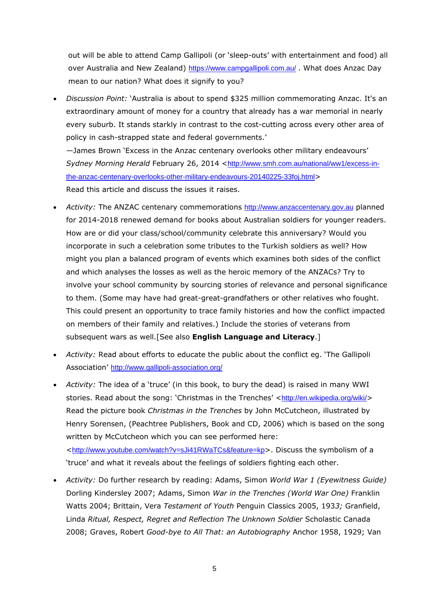out will be able to attend Camp Gallipoli (or 'sleep-outs' with entertainment and food) all over Australia and New Zealand) <https://www.campgallipoli.com.au/> . What does Anzac Day mean to our nation? What does it signify to you?

• *Discussion Point:* 'Australia is about to spend \$325 million commemorating Anzac. It's an extraordinary amount of money for a country that already has a war memorial in nearly every suburb. It stands starkly in contrast to the cost-cutting across every other area of policy in cash-strapped state and federal governments.'

—James Brown 'Excess in the Anzac centenary overlooks other military endeavours' *Sydney Morning Herald* February 26, 2014 <[http://www.smh.com.au/national/ww1/excess-in](http://www.smh.com.au/national/ww1/excess-in-the-anzac-centenary-overlooks-other-military-endeavours-20140225-33foj.html)[the-anzac-centenary-overlooks-other-military-endeavours-20140225-33foj.html](http://www.smh.com.au/national/ww1/excess-in-the-anzac-centenary-overlooks-other-military-endeavours-20140225-33foj.html)> Read this article and discuss the issues it raises.

- *Activity:* The ANZAC centenary commemorations [http://www.anzaccentenary.gov.au](http://www.anzaccentenary.gov.au/) planned for 2014-2018 renewed demand for books about Australian soldiers for younger readers. How are or did your class/school/community celebrate this anniversary? Would you incorporate in such a celebration some tributes to the Turkish soldiers as well? How might you plan a balanced program of events which examines both sides of the conflict and which analyses the losses as well as the heroic memory of the ANZACs? Try to involve your school community by sourcing stories of relevance and personal significance to them. (Some may have had great-great-grandfathers or other relatives who fought. This could present an opportunity to trace family histories and how the conflict impacted on members of their family and relatives.) Include the stories of veterans from subsequent wars as well.[See also **English Language and Literacy**.]
- *Activity:* Read about efforts to educate the public about the conflict eg. 'The Gallipoli Association' <http://www.gallipoli-association.org/>
- *Activity:* The idea of a 'truce' (in this book, to bury the dead) is raised in many WWI stories. Read about the song: 'Christmas in the Trenches' <<http://en.wikipedia.org/wiki/>> Read the picture book *Christmas in the Trenches* by John McCutcheon, illustrated by Henry Sorensen, (Peachtree Publishers, Book and CD, 2006) which is based on the song written by McCutcheon which you can see performed here: <<http://www.youtube.com/watch?v=sJi41RWaTCs&feature=kp>>. Discuss the symbolism of a 'truce' and what it reveals about the feelings of soldiers fighting each other.
- *Activity:* Do further research by reading: Adams, Simon *World War 1 (Eyewitness Guide)*  Dorling Kindersley 2007; Adams, Simon *War in the Trenches (World War One)* Franklin Watts 2004; Brittain, Vera *Testament of Youth* Penguin Classics 2005, 193*3;* Granfield, Linda *Ritual, Respect, Regret and Reflection The Unknown Soldier* Scholastic Canada 2008; Graves, Robert *Good-bye to All That: an Autobiography* Anchor 1958, 1929; Van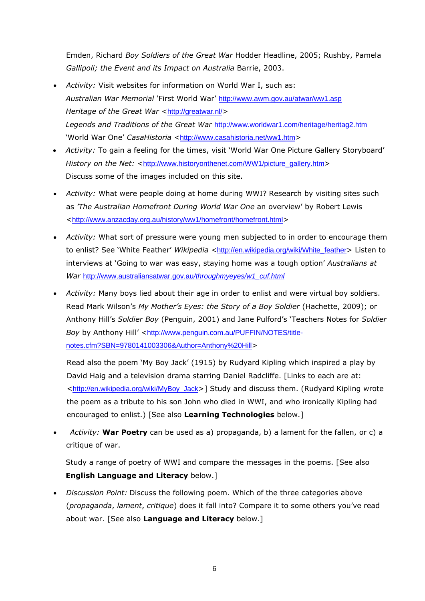Emden, Richard *Boy Soldiers of the Great War* Hodder Headline, 2005; Rushby, Pamela *Gallipoli; the Event and its Impact on Australia* Barrie, 2003.

- *Activity:* Visit websites for information on World War I, such as: *Australian War Memorial '*First World War' <http://www.awm.gov.au/atwar/ww1.asp> *Heritage of the Great War <<http://greatwar.nl/>> Legends and Traditions of the Great War* <http://www.worldwar1.com/heritage/heritag2.htm> 'World War One' CasaHistoria <<http://www.casahistoria.net/ww1.htm>>
- *Activity:* To gain a feeling for the times, visit 'World War One Picture Gallery Storyboard' *History on the Net:* <[http://www.historyonthenet.com/WW1/picture\\_gallery.htm](http://www.historyonthenet.com/WW1/picture_gallery.htm)> Discuss some of the images included on this site.
- *Activity:* What were people doing at home during WWI? Research by visiting sites such as *'The Australian Homefront During World War One* an overview' by Robert Lewis <<http://www.anzacday.org.au/history/ww1/homefront/homefront.html>>
- *Activity:* What sort of pressure were young men subjected to in order to encourage them to enlist? See 'White Feather' *Wikipedia <*[http://en.wikipedia.org/wiki/White\\_feather](http://en.wikipedia.org/wiki/White_feather)> Listen to interviews at 'Going to war was easy, staying home was a tough option' *Australians at War* [http://www.australiansatwar.gov.au](http://www.australiansatwar.gov.au/throughmyeyes/w1_cuf.html)*/throughmyeyes/w1\_cuf.html*
- *Activity:* Many boys lied about their age in order to enlist and were virtual boy soldiers. Read Mark Wilson's *My Mother's Eyes: the Story of a Boy Soldier* (Hachette, 2009); or Anthony Hill's *Soldier Boy* (Penguin, 2001) and Jane Pulford's 'Teachers Notes for *Soldier*  Boy by Anthony Hill' <[http://www.penguin.com.au/PUFFIN/NOTES/title](http://www.penguin.com.au/PUFFIN/NOTES/title-notes.cfm?SBN=9780141003306&Author=Anthony%20Hill)[notes.cfm?SBN=9780141003306&Author=Anthony%20Hill](http://www.penguin.com.au/PUFFIN/NOTES/title-notes.cfm?SBN=9780141003306&Author=Anthony%20Hill)>

Read also the poem 'My Boy Jack' (1915) by Rudyard Kipling which inspired a play by David Haig and a television drama starring Daniel Radcliffe. [Links to each are at: <[http://en.wikipedia.org/wiki/MyBoy\\_Jack](http://en.wikipedia.org/wiki/MyBoy_Jack)>] Study and discuss them. (Rudyard Kipling wrote the poem as a tribute to his son John who died in WWI, and who ironically Kipling had encouraged to enlist.) [See also **Learning Technologies** below.]

• *Activity:* **War Poetry** can be used as a) propaganda, b) a lament for the fallen, or c) a critique of war.

Study a range of poetry of WWI and compare the messages in the poems. [See also **English Language and Literacy** below.]

• *Discussion Point:* Discuss the following poem. Which of the three categories above (*propaganda*, *lament*, *critique*) does it fall into? Compare it to some others you've read about war. [See also **Language and Literacy** below.]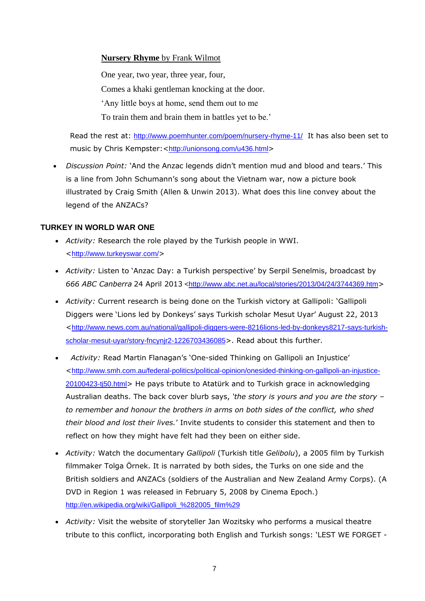#### **Nursery Rhyme** by Frank Wilmot

One year, two year, three year, four, Comes a khaki gentleman knocking at the door. 'Any little boys at home, send them out to me To train them and brain them in battles yet to be.'

Read the rest at: <http://www.poemhunter.com/poem/nursery-rhyme-11/> It has also been set to music by Chris Kempster: <<http://unionsong.com/u436.html>>

• *Discussion Point:* 'And the Anzac legends didn't mention mud and blood and tears.' This is a line from John Schumann's song about the Vietnam war, now a picture book illustrated by Craig Smith (Allen & Unwin 2013). What does this line convey about the legend of the ANZACs?

#### **TURKEY IN WORLD WAR ONE**

- *Activity:* Research the role played by the Turkish people in WWI. <<http://www.turkeyswar.com/>>
- *Activity:* Listen to 'Anzac Day: a Turkish perspective' by Serpil Senelmis, broadcast by 666 ABC Canberra 24 April 2013 [<http://www.abc.net.au/local/stories/2013/04/24/3744369.htm](http://www.abc.net.au/local/stories/2013/04/24/3744369.htm)>
- *Activity:* Current research is being done on the Turkish victory at Gallipoli: 'Gallipoli Diggers were 'Lions led by Donkeys' says Turkish scholar Mesut Uyar' August 22, 2013 <[http://www.news.com.au/national/gallipoli-diggers-were-8216lions-led-by-donkeys8217-says-turkish](http://www.news.com.au/national/gallipoli-diggers-were-8216lions-led-by-donkeys8217-says-turkish-scholar-mesut-uyar/story-fncynjr2-1226703436085)[scholar-mesut-uyar/story-fncynjr2-1226703436085](http://www.news.com.au/national/gallipoli-diggers-were-8216lions-led-by-donkeys8217-says-turkish-scholar-mesut-uyar/story-fncynjr2-1226703436085)>. Read about this further.
- *Activity:* Read Martin Flanagan's 'One-sided Thinking on Gallipoli an Injustice' <[http://www.smh.com.au/federal-politics/political-opinion/onesided-thinking-on-gallipoli-an-injustice-](http://www.smh.com.au/federal-politics/political-opinion/onesided-thinking-on-gallipoli-an-injustice-20100423-tj50.html)[20100423-tj50.html](http://www.smh.com.au/federal-politics/political-opinion/onesided-thinking-on-gallipoli-an-injustice-20100423-tj50.html)> He pays tribute to Atatürk and to Turkish grace in acknowledging Australian deaths. The back cover blurb says, *'the story is yours and you are the story – to remember and honour the brothers in arms on both sides of the conflict, who shed their blood and lost their lives.*' Invite students to consider this statement and then to reflect on how they might have felt had they been on either side.
- *Activity:* Watch the documentary *Gallipoli* [\(Turkish](http://en.wikipedia.org/wiki/Turkish_language) title *Gelibolu*), a 2005 film by Turkish filmmaker [Tolga Örnek.](http://en.wikipedia.org/wiki/Tolga_%C3%96rnek) It is narrated by both sides, the [Turks](http://en.wikipedia.org/wiki/Ottoman_Empire) on one side and the [British soldiers](http://en.wikipedia.org/wiki/British_army) and [ANZACs](http://en.wikipedia.org/wiki/Australian_and_New_Zealand_Army_Corps) (soldiers of the Australian and New Zealand Army Corps). (A DVD in [Region 1](http://en.wikipedia.org/wiki/Region_1) was released in February 5, 2008 by [Cinema Epoch.](http://en.wikipedia.org/wiki/Cinema_Epoch)) [http://en.wikipedia.org/wiki/Gallipoli\\_%282005\\_film%29](http://en.wikipedia.org/wiki/Gallipoli_%282005_film%29)
- *Activity:* Visit the website of storyteller Jan Wozitsky who performs a musical theatre tribute to this conflict, incorporating both English and Turkish songs: 'LEST WE FORGET -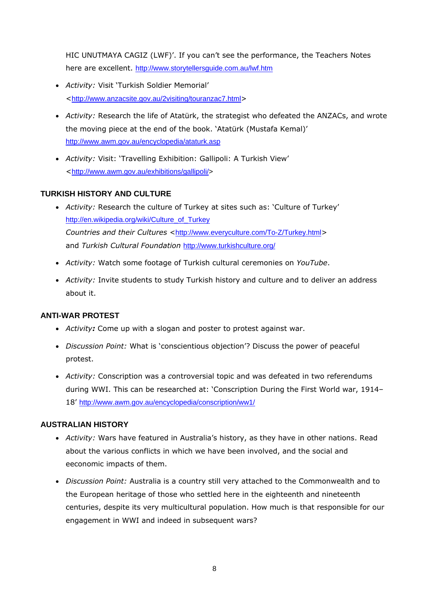HIC UNUTMAYA CAGIZ (LWF)'. If you can't see the performance, the Teachers Notes here are excellent. <http://www.storytellersguide.com.au/lwf.htm>

- *Activity:* Visit 'Turkish Soldier Memorial' <<http://www.anzacsite.gov.au/2visiting/touranzac7.html>>
- *Activity:* Research the life of Atatürk, the strategist who defeated the ANZACs, and wrote the moving piece at the end of the book. 'Atatürk (Mustafa Kemal)' <http://www.awm.gov.au/encyclopedia/ataturk.asp>
- *Activity:* Visit: 'Travelling Exhibition: Gallipoli: A Turkish View' <[http://www.awm.gov.au/exhibitions/gallipoli/>](http://www.awm.gov.au/exhibitions/gallipoli/)

#### **TURKISH HISTORY AND CULTURE**

- *Activity:* Research the culture of Turkey at sites such as: 'Culture of Turkey' [http://en.wikipedia.org/wiki/Culture\\_of\\_Turkey](http://en.wikipedia.org/wiki/Culture_of_Turkey) *Countries and their Cultures <<http://www.everyculture.com/To-Z/Turkey.html>>* and *Turkish Cultural Foundation* <http://www.turkishculture.org/>
- *Activity:* Watch some footage of Turkish cultural ceremonies on *YouTube*.
- *Activity:* Invite students to study Turkish history and culture and to deliver an address about it.

#### **ANTI-WAR PROTEST**

- *Activity:* Come up with a slogan and poster to protest against war.
- *Discussion Point:* What is 'conscientious objection'? Discuss the power of peaceful protest.
- *Activity:* Conscription was a *c*ontroversial topic and was defeated in two referendums during WWI. This can be researched at: 'Conscription During the First World war, 1914– 18' <http://www.awm.gov.au/encyclopedia/conscription/ww1/>

#### **AUSTRALIAN HISTORY**

- *Activity:* Wars have featured in Australia's history, as they have in other nations. Read about the various conflicts in which we have been involved, and the social and eeconomic impacts of them.
- *Discussion Point:* Australia is a country still very attached to the Commonwealth and to the European heritage of those who settled here in the eighteenth and nineteenth centuries, despite its very multicultural population. How much is that responsible for our engagement in WWI and indeed in subsequent wars?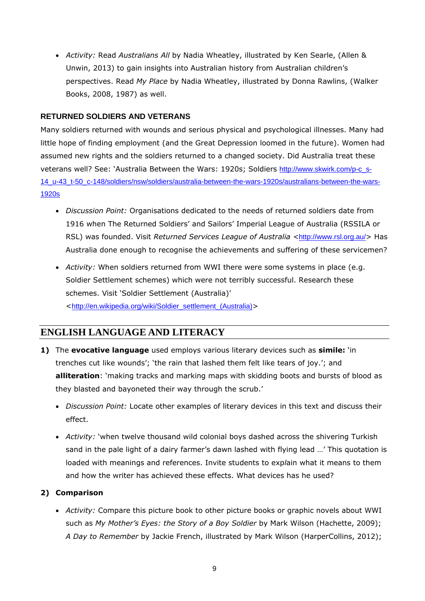• *Activity:* Read *Australians All* by Nadia Wheatley, illustrated by Ken Searle, (Allen & Unwin, 2013) to gain insights into Australian history from Australian children's perspectives. Read *My Place* by Nadia Wheatley, illustrated by Donna Rawlins, (Walker Books, 2008, 1987) as well.

#### **RETURNED SOLDIERS AND VETERANS**

Many soldiers returned with wounds and serious physical and psychological illnesses. Many had little hope of finding employment (and the Great Depression loomed in the future). Women had assumed new rights and the soldiers returned to a changed society. Did Australia treat these veterans well? See: 'Australia Between the Wars: 1920s; Soldiers [http://www.skwirk.com/p-c\\_s-](http://www.skwirk.com/p-c_s-14_u-43_t-50_c-148/soldiers/nsw/soldiers/australia-between-the-wars-1920s/australians-between-the-wars-1920s)[14\\_u-43\\_t-50\\_c-148/soldiers/nsw/soldiers/australia-between-the-wars-1920s/australians-between-the-wars-](http://www.skwirk.com/p-c_s-14_u-43_t-50_c-148/soldiers/nsw/soldiers/australia-between-the-wars-1920s/australians-between-the-wars-1920s)[1920s](http://www.skwirk.com/p-c_s-14_u-43_t-50_c-148/soldiers/nsw/soldiers/australia-between-the-wars-1920s/australians-between-the-wars-1920s)

- *Discussion Point:* Organisations dedicated to the needs of returned soldiers date from 1916 when The Returned Soldiers' and Sailors' Imperial League of Australia (RSSILA or RSL) was founded. Visit *Returned Services League of Australia* <<http://www.rsl.org.au/>> Has Australia done enough to recognise the achievements and suffering of these servicemen?
- *Activity:* When soldiers returned from WWI there were some systems in place (e.g. Soldier Settlement schemes) which were not terribly successful. Research these schemes. Visit 'Soldier Settlement (Australia)' <[http://en.wikipedia.org/wiki/Soldier\\_settlement\\_\(Australia\)](http://en.wikipedia.org/wiki/Soldier_settlement_(Australia))>

## **ENGLISH LANGUAGE AND LITERACY**

- **1)** The **evocative language** used employs various literary devices such as **simile:** 'in trenches cut like wounds'; 'the rain that lashed them felt like tears of joy.'; and **alliteration**: 'making tracks and marking maps with skidding boots and bursts of blood as they blasted and bayoneted their way through the scrub.'
	- *Discussion Point:* Locate other examples of literary devices in this text and discuss their effect.
	- *Activity:* 'when twelve thousand wild colonial boys dashed across the shivering Turkish sand in the pale light of a dairy farmer's dawn lashed with flying lead …' This quotation is loaded with meanings and references. Invite students to exp*l*ain what it means to them and how the writer has achieved these effects. What devices has he used?

#### **2) Comparison**

• *Activity:* Compare this picture book to other picture books or graphic novels about WWI such as *My Mother's Eyes: the Story of a Boy Soldier* by Mark Wilson (Hachette, 2009); *A Day to Remember* by Jackie French, illustrated by Mark Wilson (HarperCollins, 2012);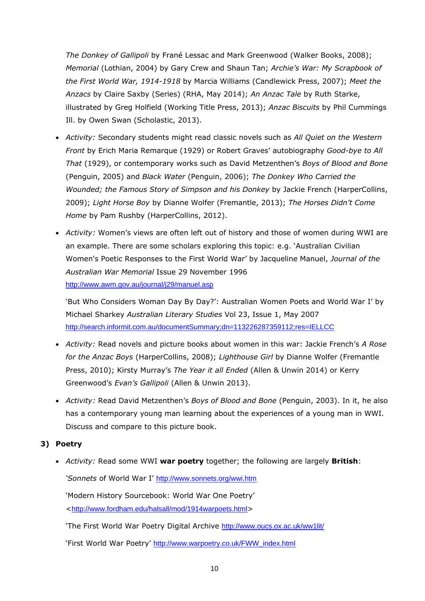*The Donkey of Gallipoli* by Frané Lessac and Mark Greenwood (Walker Books, 2008); *Memorial* (Lothian, 2004) by Gary Crew and Shaun Tan; *Archie's War: My Scrapbook of the First World War, 1914-1918* by Marcia Williams (Candlewick Press, 2007); *Meet the Anzacs* by Claire Saxby (Series) (RHA, May 2014); *An Anzac Tale* by Ruth Starke, illustrated by Greg Holfield (Working Title Press, 2013); *Anzac Biscuits* by Phil Cummings Ill. by Owen Swan (Scholastic, 2013).

- *Activity:* Secondary students might read classic novels such as *All Quiet on the Western Front* by Erich Maria Remarque (1929) or Robert Graves' autobiography *Good-bye to All That* (1929), or contemporary works such as David Metzenthen's *Boys of Blood and Bone*  (Penguin, 2005) and *Black Water* (Penguin, 2006); *The Donkey Who Carried the Wounded; the Famous Story of Simpson and his Donkey* by Jackie French (HarperCollins, 2009); *Light Horse Boy* by Dianne Wolfer (Fremantle, 2013); *The Horses Didn't Come Home* by Pam Rushby (HarperCollins, 2012).
- *Activity:* Women's views are often left out of history and those of women during WWI are an example. There are some scholars exploring this topic: e.g. 'Australian Civilian Women's Poetic Responses to the First World War' by Jacqueline Manuel, *Journal of the Australian War Memorial* Issue 29 November 1996 <http://www.awm.gov.au/journal/j29/manuel.asp>

'But Who Considers Woman Day By Day?': Australian Women Poets and World War I' by Michael Sharkey *Australian Literary Studies* Vol 23, Issue 1, May 2007 <http://search.informit.com.au/documentSummary;dn=113226287359112;res=IELLCC>

- *Activity:* Read novels and picture books about women in this war: Jackie French's *A Rose for the Anzac Boys* (HarperCollins, 2008); *Lighthouse Girl* by Dianne Wolfer (Fremantle Press, 2010); Kirsty Murray's *The Year it all Ended* (Allen & Unwin 2014) or Kerry Greenwood's *Evan's Gallipoli* (Allen & Unwin 2013).
- *Activity:* Read David Metzenthen's *Boys of Blood and Bone* (Penguin, 2003). In it, he also has a contemporary young man learning about the experiences of a young man in WWI. Discuss and compare to this picture book.

#### **3) Poetry**

• *Activity:* Read some WWI **war poetry** together; the following are largely **British**:

*'Sonnets* of World War I' <http://www.sonnets.org/wwi.htm>

'Modern History Sourcebook: World War One Poetry' <<http://www.fordham.edu/halsall/mod/1914warpoets.html>>

'The First World War Poetry Digital Archive <http://www.oucs.ox.ac.uk/ww1lit/>

'First World War Poetry' [http://www.warpoetry.co.uk/FWW\\_index.html](http://www.warpoetry.co.uk/FWW_index.html)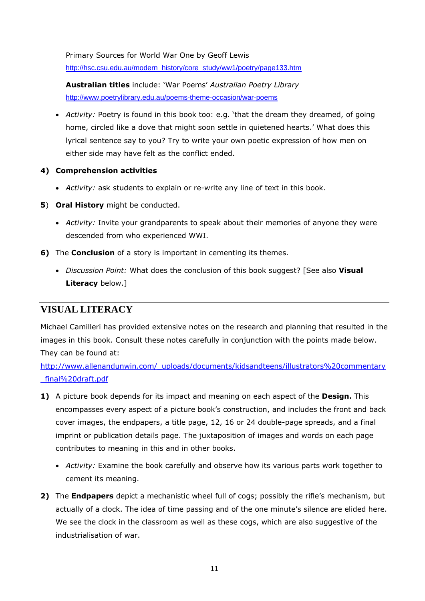Primary Sources for World War One by Geoff Lewis [http://hsc.csu.edu.au/modern\\_history/core\\_study/ww1/poetry/page133.htm](http://hsc.csu.edu.au/modern_history/core_study/ww1/poetry/page133.htm)

**Australian titles** include: 'War Poems' *Australian Poetry Library* <http://www.poetrylibrary.edu.au/poems-theme-occasion/war-poems>

• *Activity:* Poetry is found in this book too: e.g. 'that the dream they dreamed, of going home, circled like a dove that might soon settle in quietened hearts.' What does this lyrical sentence say to you? Try to write your own poetic expression of how men on either side may have felt as the conflict ended.

#### **4) Comprehension activities**

- *Activity:* ask students to explain or re-write any line of text in this book.
- **5**) **Oral History** might be conducted.
	- *Activity:* Invite your grandparents to speak about their memories of anyone they were descended from who experienced WWI.
- **6)** The **Conclusion** of a story is important in cementing its themes.
	- *Discussion Point:* What does the conclusion of this book suggest? [See also **Visual Literacy** below.]

## **VISUAL LITERACY**

Michael Camilleri has provided extensive notes on the research and planning that resulted in the images in this book. Consult these notes carefully in conjunction with the points made below. They can be found at:

[http://www.allenandunwin.com/\\_uploads/documents/kidsandteens/illustrators%20commentary](http://www.allenandunwin.com/_uploads/documents/kidsandteens/illustrators%20commentary_final%20draft.pdf) [\\_final%20draft.pdf](http://www.allenandunwin.com/_uploads/documents/kidsandteens/illustrators%20commentary_final%20draft.pdf)

- **1)** A picture book depends for its impact and meaning on each aspect of the **Design.** This encompasses every aspect of a picture book's construction, and includes the front and back cover images, the endpapers, a title page, 12, 16 or 24 double-page spreads, and a final imprint or publication details page. The juxtaposition of images and words on each page contributes to meaning in this and in other books.
	- *Activity:* Examine the book carefully and observe how its various parts work together to cement its meaning.
- **2)** The **Endpapers** depict a mechanistic wheel full of cogs; possibly the rifle's mechanism, but actually of a clock. The idea of time passing and of the one minute's silence are elided here. We see the clock in the classroom as well as these cogs, which are also suggestive of the industrialisation of war.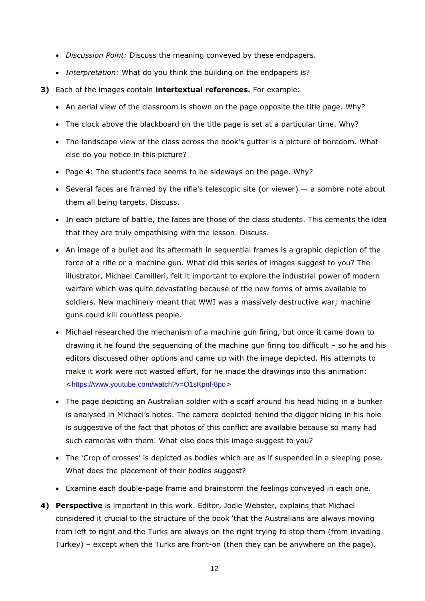- *Discussion Point:* Discuss the meaning conveyed by these endpapers.
- *Interpretation:* What do you think the building on the endpapers is?
- **3)** Each of the images contain **intertextual references.** For example:
	- An aerial view of the classroom is shown on the page opposite the title page. Why?
	- The clock above the blackboard on the title page is set at a particular time. Why?
	- The landscape view of the class across the book's gutter is a picture of boredom. What else do you notice in this picture?
	- Page 4: The student's face seems to be sideways on the page. Why?
	- Several faces are framed by the rifle's telescopic site (or viewer)  $-$  a sombre note about them all being targets. Discuss.
	- In each picture of battle, the faces are those of the class students. This cements the idea that they are truly empathising with the lesson. Discuss.
	- An image of a bullet and its aftermath in sequential frames is a graphic depiction of the force of a rifle or a machine gun. What did this series of images suggest to you? The illustrator, Michael Camilleri, felt it important to explore the industrial power of modern warfare which was quite devastating because of the new forms of arms available to soldiers. New machinery meant that WWI was a massively destructive war; machine guns could kill countless people.
	- Michael researched the mechanism of a machine gun firing, but once it came down to drawing it he found the sequencing of the machine gun firing too difficult – so he and his editors discussed other options and came up with the image depicted. His attempts to make it work were not wasted effort, for he made the drawings into this animation: <<https://www.youtube.com/watch?v=O1sKpnf-8po>>
	- The page depicting an Australian soldier with a scarf around his head hiding in a bunker is analysed in Michael's notes. The camera depicted behind the digger hiding in his hole is suggestive of the fact that photos of this conflict are available because so many had such cameras with them. What else does this image suggest to you?
	- The 'Crop of crosses' is depicted as bodies which are as if suspended in a sleeping pose. What does the placement of their bodies suggest?
	- Examine each double-page frame and brainstorm the feelings conveyed in each one.
- **4) Perspective** is important in this work. Editor, Jodie Webster, explains that Michael considered it crucial to the structure of the book 'that the Australians are always moving from left to right and the Turks are always on the right trying to stop them (from invading Turkey) – except when the Turks are front-on (then they can be anywhere on the page).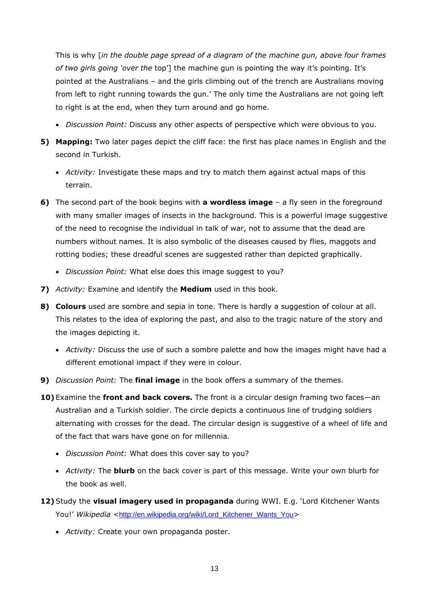This is why [*in the double page spread of a diagram of the machine gun, above four frames of two girls going 'over the* top'] the machine gun is pointing the way it's pointing. It's pointed at the Australians – and the girls climbing out of the trench are Australians moving from left to right running towards the gun.' The only time the Australians are not going left to right is at the end, when they turn around and go home.

- *Discussion Point:* Discuss any other aspects of perspective which were obvious to you.
- **5) Mapping:** Two later pages depict the cliff face: the first has place names in English and the second in Turkish.
	- *Activity:* Investigate these maps and try to match them against actual maps of this terrain.
- **6)** The second part of the book begins with **a wordless image** a fly seen in the foreground with many smaller images of insects in the background. This is a powerful image suggestive of the need to recognise the individual in talk of war, not to assume that the dead are numbers without names. It is also symbolic of the diseases caused by flies, maggots and rotting bodies; these dreadful scenes are suggested rather than depicted graphically.
	- *Discussion Point:* What else does this image suggest to you?
- **7)** *Activity:* Examine and identify the **Medium** used in this book.
- **8) Colours** used are sombre and sepia in tone. There is hardly a suggestion of colour at all. This relates to the idea of exploring the past, and also to the tragic nature of the story and the images depicting it.
	- *Activity:* Discuss the use of such a sombre palette and how the images might have had a different emotional impact if they were in colour.
- **9)** *Discussion Point:* The **final image** in the book offers a summary of the themes.
- **10)**Examine the **front and back covers.** The front is a circular design framing two faces—an Australian and a Turkish soldier. The circle depicts a continuous line of trudging soldiers alternating with crosses for the dead. The circular design is suggestive of a wheel of life and of the fact that wars have gone on for millennia.
	- *Discussion Point:* What does this cover say to you?
	- *Activity:* The **blurb** on the back cover is part of this message. Write your own blurb for the book as well.
- **12)**Study the **visual imagery used in propaganda** during WWI. E.g. 'Lord Kitchener Wants You!' Wikipedia <[http://en.wikipedia.org/wiki/Lord\\_Kitchener\\_Wants\\_You](http://en.wikipedia.org/wiki/Lord_Kitchener_Wants_You)>
	- *Activity:* Create your own propaganda poster.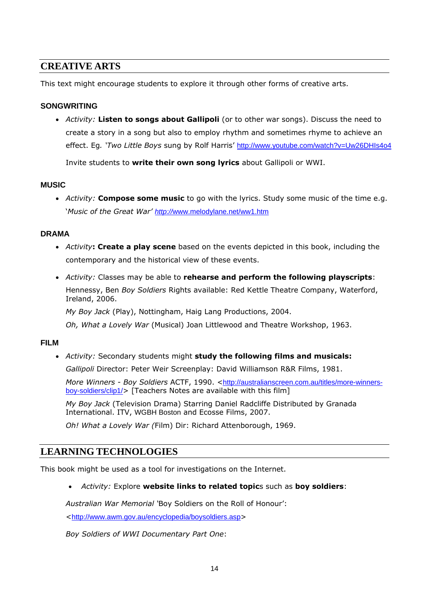## **CREATIVE ARTS**

This text might encourage students to explore it through other forms of creative arts.

#### **SONGWRITING**

• *Activity:* **Listen to songs about Gallipoli** (or to other war songs). Discuss the need to create a story in a song but also to employ rhythm and sometimes rhyme to achieve an effect. Eg*. 'Two Little Boys* sung by Rolf Harris' <http://www.youtube.com/watch?v=Uw26DHIs4o4>

Invite students to **write their own song lyrics** about Gallipoli or WWI.

#### **MUSIC**

• *Activity:* **Compose some music** to go with the lyrics. Study some music of the time e.g. '*Music of the Great War' http://*[www.melodylane.net/ww1.htm](http://www.melodylane.net/ww1.htm)

#### **DRAMA**

- *Activity***: Create a play scene** based on the events depicted in this book, including the contemporary and the historical view of these events.
- *Activity:* Classes may be able to **rehearse and perform the following playscripts**: Hennessy, Ben *Boy Soldiers* Rights available: Red Kettle Theatre Company, Waterford, Ireland, 2006.

*My Boy Jack* (Play), Nottingham, Haig Lang Productions, 2004.

*Oh, What a Lovely War* (Musical) Joan Littlewood and Theatre Workshop, 1963.

#### **FILM**

• *Activity:* Secondary students might **study the following films and musicals:**

*Gallipoli* Director: Peter Weir Screenplay: David Williamson R&R Films, 1981.

*More Winners - Boy Soldiers* ACTF, 1990. <[http://australianscreen.com.au/titles/more-winners](http://australianscreen.com.au/titles/more-winners-boy-soldiers/clip1/)[boy-soldiers/clip1/](http://australianscreen.com.au/titles/more-winners-boy-soldiers/clip1/)> [Teachers Notes are available with this film]

*My Boy Jack* (Television Drama) Starring Daniel Radcliffe Distributed by Granada International. ITV, WGBH Boston and Ecosse Films, 2007.

*Oh! What a Lovely War (*Film) Dir: Richard Attenborough, 1969.

## **LEARNING TECHNOLOGIES**

This book might be used as a tool for investigations on the Internet.

• *Activity:* Explore **website links to related topic**s such as **boy soldiers**:

*Australian War Memorial '*Boy Soldiers on the Roll of Honour':

<<http://www.awm.gov.au/encyclopedia/boysoldiers.asp>>

*Boy Soldiers of WWI Documentary Part One*: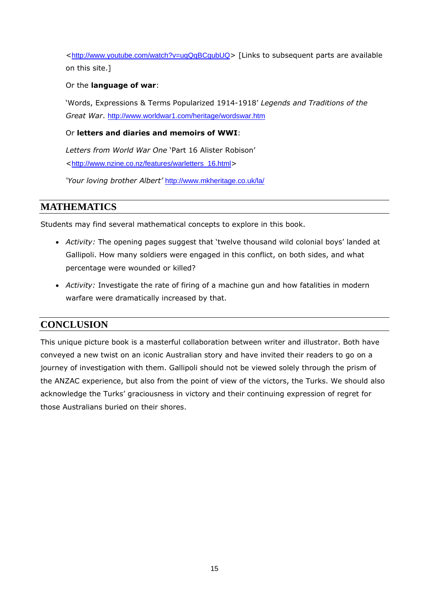<<http://www.youtube.com/watch?v=uqQqBCgubUQ>> [Links to subsequent parts are available on this site.]

#### Or the **language of war**:

'Words, Expressions & Terms Popularized 1914-1918' *Legends and Traditions of the Great War*. <http://www.worldwar1.com/heritage/wordswar.htm>

#### Or **letters and diaries and memoirs of WWI**:

*Letters from World War One* 'Part 16 Alister Robison' <[http://www.nzine.co.nz/features/warletters\\_16.html](http://www.nzine.co.nz/features/warletters_16.html)>

*'Your loving brother Albert'* <http://www.mkheritage.co.uk/la/>

## **MATHEMATICS**

Students may find several mathematical concepts to explore in this book.

- *Activity:* The opening pages suggest that 'twelve thousand wild colonial boys' landed at Gallipoli. How many soldiers were engaged in this conflict, on both sides, and what percentage were wounded or killed?
- *Activity:* Investigate the rate of firing of a machine gun and how fatalities in modern warfare were dramatically increased by that.

## **CONCLUSION**

This unique picture book is a masterful collaboration between writer and illustrator. Both have conveyed a new twist on an iconic Australian story and have invited their readers to go on a journey of investigation with them. Gallipoli should not be viewed solely through the prism of the ANZAC experience, but also from the point of view of the victors, the Turks. We should also acknowledge the Turks' graciousness in victory and their continuing expression of regret for those Australians buried on their shores.